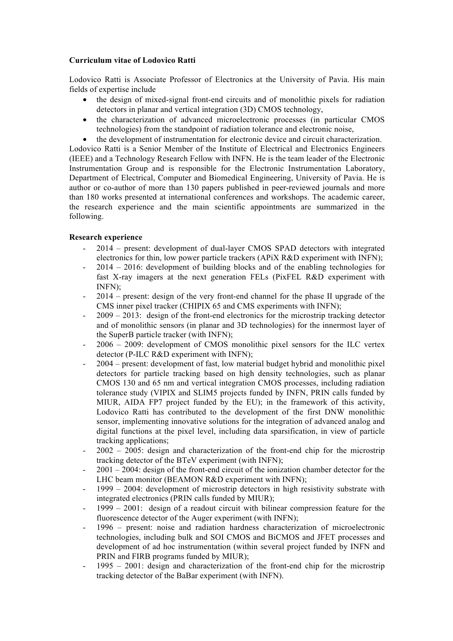## **Curriculum vitae of Lodovico Ratti**

Lodovico Ratti is Associate Professor of Electronics at the University of Pavia. His main fields of expertise include

- the design of mixed-signal front-end circuits and of monolithic pixels for radiation detectors in planar and vertical integration (3D) CMOS technology,
- the characterization of advanced microelectronic processes (in particular CMOS technologies) from the standpoint of radiation tolerance and electronic noise,
- the development of instrumentation for electronic device and circuit characterization.

Lodovico Ratti is a Senior Member of the Institute of Electrical and Electronics Engineers (IEEE) and a Technology Research Fellow with INFN. He is the team leader of the Electronic Instrumentation Group and is responsible for the Electronic Instrumentation Laboratory, Department of Electrical, Computer and Biomedical Engineering, University of Pavia. He is author or co-author of more than 130 papers published in peer-reviewed journals and more than 180 works presented at international conferences and workshops. The academic career, the research experience and the main scientific appointments are summarized in the following.

## **Research experience**

- 2014 present: development of dual-layer CMOS SPAD detectors with integrated electronics for thin, low power particle trackers (APiX R&D experiment with INFN);
- 2014 2016: development of building blocks and of the enabling technologies for fast X-ray imagers at the next generation FELs (PixFEL R&D experiment with INFN);
- 2014 present: design of the very front-end channel for the phase II upgrade of the CMS inner pixel tracker (CHIPIX 65 and CMS experiments with INFN);
- $2009 2013$ : design of the front-end electronics for the microstrip tracking detector and of monolithic sensors (in planar and 3D technologies) for the innermost layer of the SuperB particle tracker (with INFN);
- 2006 2009: development of CMOS monolithic pixel sensors for the ILC vertex detector (P-ILC R&D experiment with INFN);
- 2004 present: development of fast, low material budget hybrid and monolithic pixel detectors for particle tracking based on high density technologies, such as planar CMOS 130 and 65 nm and vertical integration CMOS processes, including radiation tolerance study (VIPIX and SLIM5 projects funded by INFN, PRIN calls funded by MIUR, AIDA FP7 project funded by the EU); in the framework of this activity, Lodovico Ratti has contributed to the development of the first DNW monolithic sensor, implementing innovative solutions for the integration of advanced analog and digital functions at the pixel level, including data sparsification, in view of particle tracking applications;
- $2002 2005$ : design and characterization of the front-end chip for the microstrip tracking detector of the BTeV experiment (with INFN);
- $2001 2004$ : design of the front-end circuit of the ionization chamber detector for the LHC beam monitor (BEAMON R&D experiment with INFN);
- $1999 2004$ : development of microstrip detectors in high resistivity substrate with integrated electronics (PRIN calls funded by MIUR);
- $1999 2001$ : design of a readout circuit with bilinear compression feature for the fluorescence detector of the Auger experiment (with INFN);
- 1996 present: noise and radiation hardness characterization of microelectronic technologies, including bulk and SOI CMOS and BiCMOS and JFET processes and development of ad hoc instrumentation (within several project funded by INFN and PRIN and FIRB programs funded by MIUR);
- 1995 2001: design and characterization of the front-end chip for the microstrip tracking detector of the BaBar experiment (with INFN).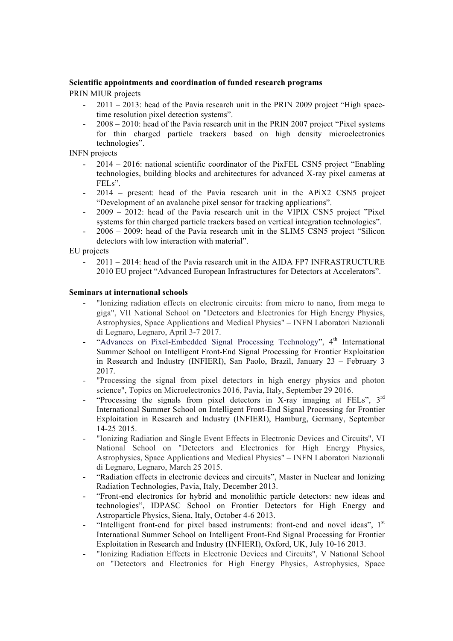### **Scientific appointments and coordination of funded research programs**

PRIN MIUR projects

- 2011 2013: head of the Pavia research unit in the PRIN 2009 project "High spacetime resolution pixel detection systems".
- $2008 2010$ : head of the Pavia research unit in the PRIN 2007 project "Pixel systems" for thin charged particle trackers based on high density microelectronics technologies".

INFN projects

- 2014 2016: national scientific coordinator of the PixFEL CSN5 project "Enabling technologies, building blocks and architectures for advanced X-ray pixel cameras at FELs".
- 2014 present: head of the Pavia research unit in the APiX2 CSN5 project "Development of an avalanche pixel sensor for tracking applications".
- 2009 2012: head of the Pavia research unit in the VIPIX CSN5 project "Pixel systems for thin charged particle trackers based on vertical integration technologies".
- 2006 2009: head of the Pavia research unit in the SLIM5 CSN5 project "Silicon detectors with low interaction with material".

EU projects

- 2011 – 2014: head of the Pavia research unit in the AIDA FP7 INFRASTRUCTURE 2010 EU project "Advanced European Infrastructures for Detectors at Accelerators".

### **Seminars at international schools**

- "Ionizing radiation effects on electronic circuits: from micro to nano, from mega to giga", VII National School on "Detectors and Electronics for High Energy Physics, Astrophysics, Space Applications and Medical Physics" – INFN Laboratori Nazionali di Legnaro, Legnaro, April 3-7 2017.
- "Advances on Pixel-Embedded Signal Processing Technology",  $4<sup>th</sup>$  International Summer School on Intelligent Front-End Signal Processing for Frontier Exploitation in Research and Industry (INFIERI), San Paolo, Brazil, January 23 – February 3 2017.
- "Processing the signal from pixel detectors in high energy physics and photon science", Topics on Microelectronics 2016, Pavia, Italy, September 29 2016.
- "Processing the signals from pixel detectors in X-ray imaging at FELs", 3<sup>rd</sup> International Summer School on Intelligent Front-End Signal Processing for Frontier Exploitation in Research and Industry (INFIERI), Hamburg, Germany, September 14-25 2015.
- "Ionizing Radiation and Single Event Effects in Electronic Devices and Circuits", VI National School on "Detectors and Electronics for High Energy Physics, Astrophysics, Space Applications and Medical Physics" – INFN Laboratori Nazionali di Legnaro, Legnaro, March 25 2015.
- "Radiation effects in electronic devices and circuits", Master in Nuclear and Ionizing Radiation Technologies, Pavia, Italy, December 2013.
- "Front-end electronics for hybrid and monolithic particle detectors: new ideas and technologies", IDPASC School on Frontier Detectors for High Energy and Astroparticle Physics, Siena, Italy, October 4-6 2013.
- "Intelligent front-end for pixel based instruments: front-end and novel ideas", 1<sup>st</sup> International Summer School on Intelligent Front-End Signal Processing for Frontier Exploitation in Research and Industry (INFIERI), Oxford, UK, July 10-16 2013.
- "Ionizing Radiation Effects in Electronic Devices and Circuits", V National School on "Detectors and Electronics for High Energy Physics, Astrophysics, Space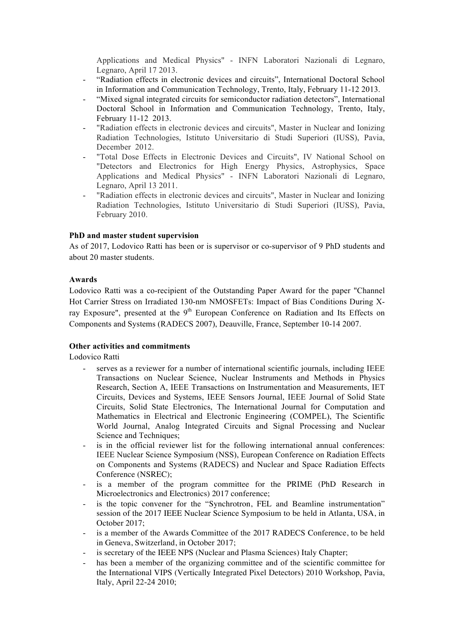Applications and Medical Physics" - INFN Laboratori Nazionali di Legnaro, Legnaro, April 17 2013.

- "Radiation effects in electronic devices and circuits", International Doctoral School in Information and Communication Technology, Trento, Italy, February 11-12 2013.
- "Mixed signal integrated circuits for semiconductor radiation detectors", International Doctoral School in Information and Communication Technology, Trento, Italy, February 11-12 2013.
- "Radiation effects in electronic devices and circuits", Master in Nuclear and Ionizing Radiation Technologies, Istituto Universitario di Studi Superiori (IUSS), Pavia, December 2012.
- "Total Dose Effects in Electronic Devices and Circuits", IV National School on "Detectors and Electronics for High Energy Physics, Astrophysics, Space Applications and Medical Physics" - INFN Laboratori Nazionali di Legnaro, Legnaro, April 13 2011.
- "Radiation effects in electronic devices and circuits", Master in Nuclear and Ionizing Radiation Technologies, Istituto Universitario di Studi Superiori (IUSS), Pavia, February 2010.

### **PhD and master student supervision**

As of 2017, Lodovico Ratti has been or is supervisor or co-supervisor of 9 PhD students and about 20 master students.

#### **Awards**

Lodovico Ratti was a co-recipient of the Outstanding Paper Award for the paper "Channel Hot Carrier Stress on Irradiated 130-nm NMOSFETs: Impact of Bias Conditions During Xray Exposure", presented at the  $9<sup>th</sup>$  European Conference on Radiation and Its Effects on Components and Systems (RADECS 2007), Deauville, France, September 10-14 2007.

### **Other activities and commitments**

Lodovico Ratti

- serves as a reviewer for a number of international scientific journals, including IEEE Transactions on Nuclear Science, Nuclear Instruments and Methods in Physics Research, Section A, IEEE Transactions on Instrumentation and Measurements, IET Circuits, Devices and Systems, IEEE Sensors Journal, IEEE Journal of Solid State Circuits, Solid State Electronics, The International Journal for Computation and Mathematics in Electrical and Electronic Engineering (COMPEL), The Scientific World Journal, Analog Integrated Circuits and Signal Processing and Nuclear Science and Techniques;
- is in the official reviewer list for the following international annual conferences: IEEE Nuclear Science Symposium (NSS), European Conference on Radiation Effects on Components and Systems (RADECS) and Nuclear and Space Radiation Effects Conference (NSREC);
- is a member of the program committee for the PRIME (PhD Research in Microelectronics and Electronics) 2017 conference;
- is the topic convener for the "Synchrotron, FEL and Beamline instrumentation" session of the 2017 IEEE Nuclear Science Symposium to be held in Atlanta, USA, in October 2017;
- is a member of the Awards Committee of the 2017 RADECS Conference, to be held in Geneva, Switzerland, in October 2017;
- is secretary of the IEEE NPS (Nuclear and Plasma Sciences) Italy Chapter;
- has been a member of the organizing committee and of the scientific committee for the International VIPS (Vertically Integrated Pixel Detectors) 2010 Workshop, Pavia, Italy, April 22-24 2010;